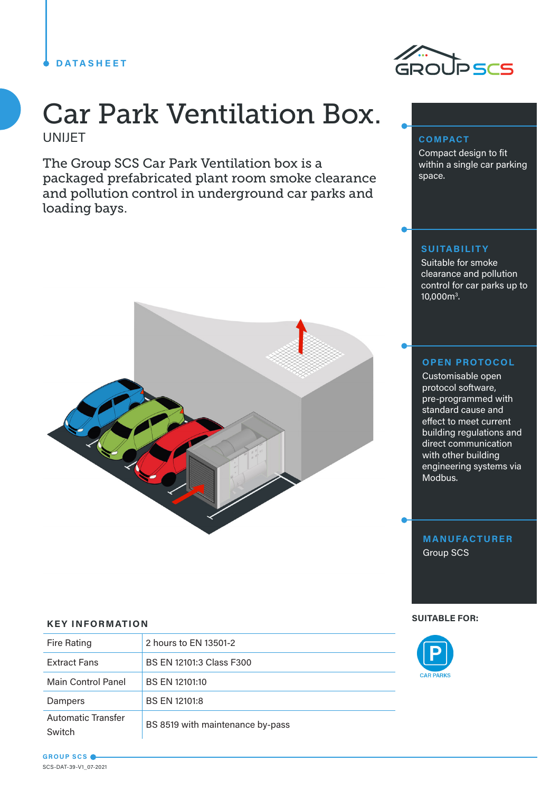## **DATASHEET**



**COMPACT**

space.

Compact design to fit within a single car parking

# Car Park Ventilation Box. UNIJET

The Group SCS Car Park Ventilation box is a packaged prefabricated plant room smoke clearance and pollution control in underground car parks and loading bays.



## **SUITABILITY**

Suitable for smoke clearance and pollution control for car parks up to 10,000m3 .

### **OPEN PROTOCOL**

Customisable open protocol software, pre-programmed with standard cause and effect to meet current building regulations and direct communication with other building engineering systems via Modbus.

**MANUFACTURER** Group SCS

#### **SUITABLE FOR:**



#### **KEY INFORMATION**

| Fire Rating                         | 2 hours to EN 13501-2            |
|-------------------------------------|----------------------------------|
| <b>Extract Fans</b>                 | BS EN 12101:3 Class F300         |
| Main Control Panel                  | BS EN 12101:10                   |
| Dampers                             | BS EN 12101:8                    |
| <b>Automatic Transfer</b><br>Switch | BS 8519 with maintenance by-pass |